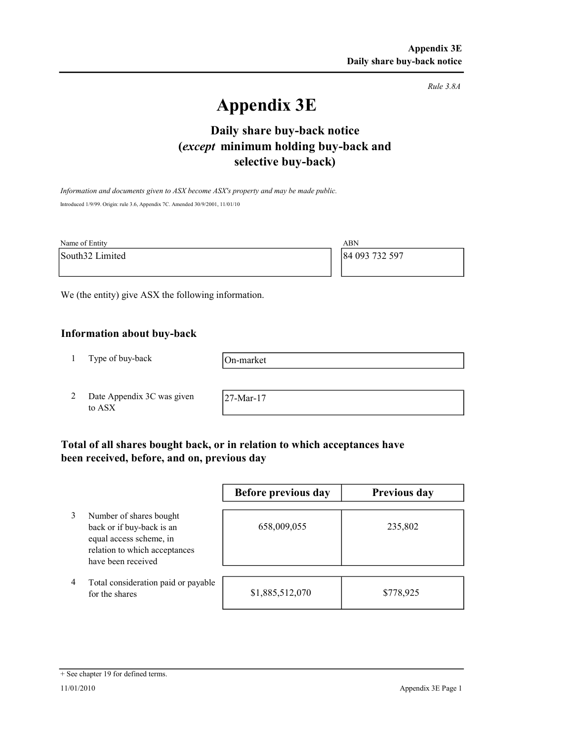Rule 3.8A

# Appendix 3E

# selective buy-back) Daily share buy-back notice (except minimum holding buy-back and

Information and documents given to ASX become ASX's property and may be made public. Introduced 1/9/99. Origin: rule 3.6, Appendix 7C. Amended 30/9/2001, 11/01/10

| Name of Entity  | ABN            |
|-----------------|----------------|
| South32 Limited | 84 093 732 597 |
|                 |                |

We (the entity) give ASX the following information.

### Information about buy-back

1 Type of buy-back

On-market

2 Date Appendix 3C was given to ASX

27-Mar-17

# Total of all shares bought back, or in relation to which acceptances have been received, before, and on, previous day

|   |                                                                                                                                        | Before previous day | Previous day |
|---|----------------------------------------------------------------------------------------------------------------------------------------|---------------------|--------------|
|   | Number of shares bought<br>back or if buy-back is an<br>equal access scheme, in<br>relation to which acceptances<br>have been received | 658,009,055         | 235,802      |
| 4 | Total consideration paid or payable<br>for the shares                                                                                  | \$1,885,512,070     | \$778,925    |

#### + See chapter 19 for defined terms.